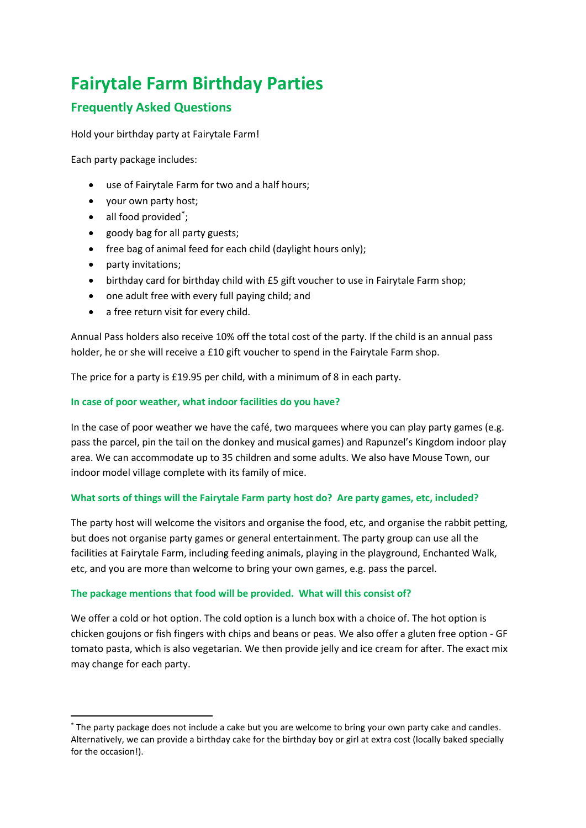# **Fairytale Farm Birthday Parties**

# **Frequently Asked Questions**

Hold your birthday party at Fairytale Farm!

Each party package includes:

- use of Fairytale Farm for two and a half hours;
- your own party host;
- all food provided<sup>\*</sup>;
- goody bag for all party guests;
- free bag of animal feed for each child (daylight hours only);
- party invitations;
- birthday card for birthday child with £5 gift voucher to use in Fairytale Farm shop;
- one adult free with every full paying child; and
- a free return visit for every child.

Annual Pass holders also receive 10% off the total cost of the party. If the child is an annual pass holder, he or she will receive a £10 gift voucher to spend in the Fairytale Farm shop.

The price for a party is £19.95 per child, with a minimum of 8 in each party.

# **In case of poor weather, what indoor facilities do you have?**

In the case of poor weather we have the café, two marquees where you can play party games (e.g. pass the parcel, pin the tail on the donkey and musical games) and Rapunzel's Kingdom indoor play area. We can accommodate up to 35 children and some adults. We also have Mouse Town, our indoor model village complete with its family of mice.

# **What sorts of things will the Fairytale Farm party host do? Are party games, etc, included?**

The party host will welcome the visitors and organise the food, etc, and organise the rabbit petting, but does not organise party games or general entertainment. The party group can use all the facilities at Fairytale Farm, including feeding animals, playing in the playground, Enchanted Walk, etc, and you are more than welcome to bring your own games, e.g. pass the parcel.

# **The package mentions that food will be provided. What will this consist of?**

We offer a cold or hot option. The cold option is a lunch box with a choice of. The hot option is chicken goujons or fish fingers with chips and beans or peas. We also offer a gluten free option - GF tomato pasta, which is also vegetarian. We then provide jelly and ice cream for after. The exact mix may change for each party.

<sup>\*</sup> The party package does not include a cake but you are welcome to bring your own party cake and candles. Alternatively, we can provide a birthday cake for the birthday boy or girl at extra cost (locally baked specially for the occasion!).